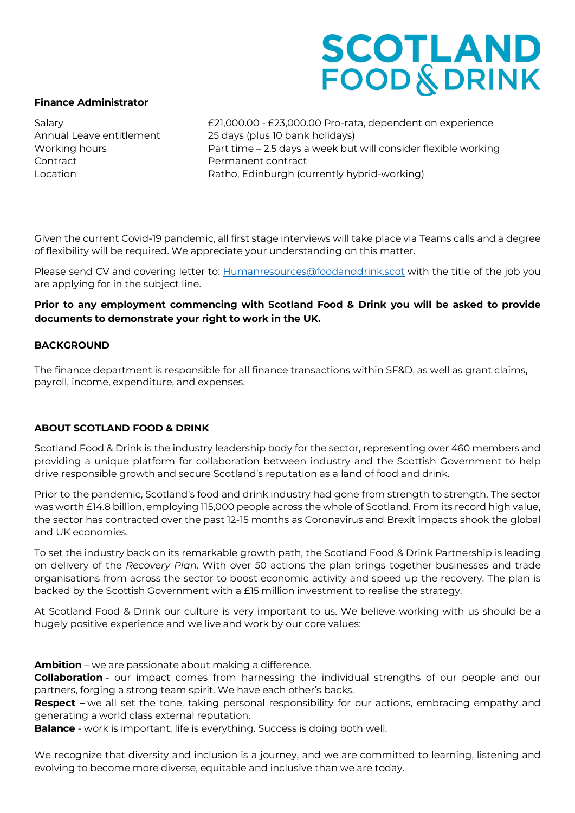## **SCOTLAND<br>FOOD & DRINK**

#### **Finance Administrator**

Contract **Permanent contract** 

Salary £21,000.00 - £23,000.00 Pro-rata, dependent on experience Annual Leave entitlement 25 days (plus 10 bank holidays) Working hours **Part time – 2,5 days a week but will consider flexible working** Location Ratho, Edinburgh (currently hybrid-working)

Given the current Covid-19 pandemic, all first stage interviews will take place via Teams calls and a degree of flexibility will be required. We appreciate your understanding on this matter.

Please send CV and covering letter to: [Humanresources@foodanddrink.scot](mailto:Humanresources@foodanddrink.scot) with the title of the job you are applying for in the subject line.

## **Prior to any employment commencing with Scotland Food & Drink you will be asked to provide documents to demonstrate your right to work in the UK.**

#### **BACKGROUND**

The finance department is responsible for all finance transactions within SF&D, as well as grant claims, payroll, income, expenditure, and expenses.

## **ABOUT SCOTLAND FOOD & DRINK**

Scotland Food & Drink is the industry leadership body for the sector, representing over 460 members and providing a unique platform for collaboration between industry and the Scottish Government to help drive responsible growth and secure Scotland's reputation as a land of food and drink.

Prior to the pandemic, Scotland's food and drink industry had gone from strength to strength. The sector was worth £14.8 billion, employing 115,000 people across the whole of Scotland. From its record high value, the sector has contracted over the past 12-15 months as Coronavirus and Brexit impacts shook the global and UK economies.

To set the industry back on its remarkable growth path, the Scotland Food & Drink Partnership is leading on delivery of the *Recovery Plan*. With over 50 actions the plan brings together businesses and trade organisations from across the sector to boost economic activity and speed up the recovery. The plan is backed by the Scottish Government with a £15 million investment to realise the strategy.

At Scotland Food & Drink our culture is very important to us. We believe working with us should be a hugely positive experience and we live and work by our core values:

**Ambition** – we are passionate about making a difference.

**Collaboration** - our impact comes from harnessing the individual strengths of our people and our partners, forging a strong team spirit. We have each other's backs.

**Respect –** we all set the tone, taking personal responsibility for our actions, embracing empathy and generating a world class external reputation.

**Balance** - work is important, life is everything. Success is doing both well.

We recognize that diversity and inclusion is a journey, and we are committed to learning, listening and evolving to become more diverse, equitable and inclusive than we are today.